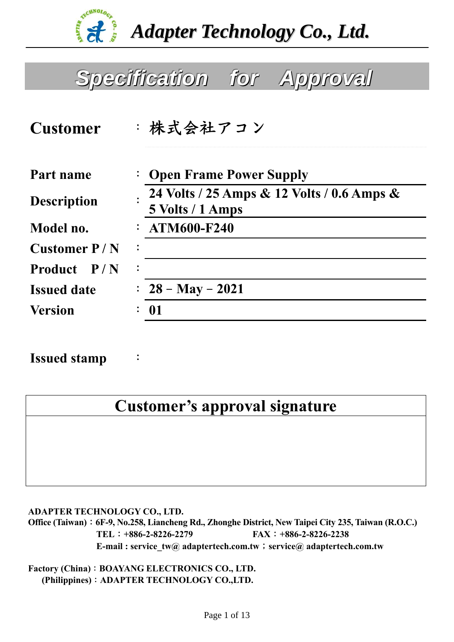

*Adapter Technology Co., Ltd.*

# *SSppeecciiffiiccaattiioonn ffoorr AApppprroovvaall*

| : 株式会社アコン                                                      |  |
|----------------------------------------------------------------|--|
| : Open Frame Power Supply                                      |  |
| 24 Volts / 25 Amps & 12 Volts / 0.6 Amps &<br>5 Volts / 1 Amps |  |
| $:ATM600-F240$                                                 |  |
| $\ddot{\cdot}$                                                 |  |
| $\ddot{\cdot}$                                                 |  |
| : $28 - May - 2021$                                            |  |
| 01                                                             |  |
|                                                                |  |

**Issued stamp** :

# **Customer's approval signature**

**ADAPTER TECHNOLOGY CO., LTD.** 

**Office (Taiwan)**:**6F-9, No.258, Liancheng Rd., Zhonghe District, New Taipei City 235, Taiwan (R.O.C.) TEL**:**+886-2-8226-2279 FAX**:**+886-2-8226-2238 E-mail : service** tw@ adaptertech.com.tw; service@ adaptertech.com.tw

**Factory (China)**:**BOAYANG ELECTRONICS CO., LTD. (Philippines)**:**ADAPTER TECHNOLOGY CO.,LTD.**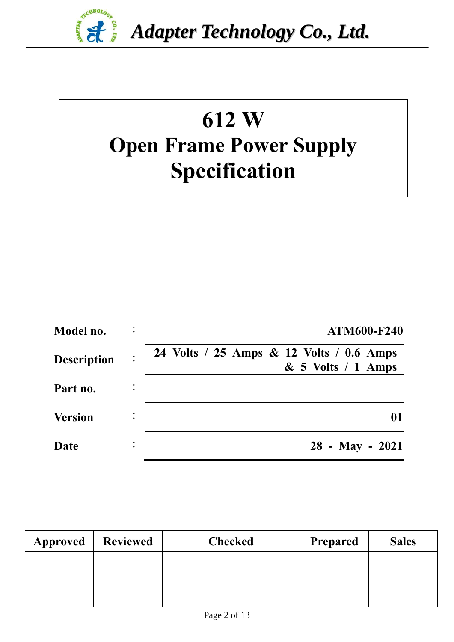

# **612 W Open Frame Power Supply Specification**

| Model no.          | <b>ATM600-F240</b>                                               |
|--------------------|------------------------------------------------------------------|
| <b>Description</b> | 24 Volts / 25 Amps & 12 Volts / 0.6 Amps<br>$& 5$ Volts / 1 Amps |
| Part no.           |                                                                  |
| <b>Version</b>     | 01                                                               |
| Date               | $28$ - May - 2021                                                |

| <b>Approved</b> | <b>Reviewed</b> | <b>Checked</b> | <b>Prepared</b> | <b>Sales</b> |
|-----------------|-----------------|----------------|-----------------|--------------|
|                 |                 |                |                 |              |
|                 |                 |                |                 |              |
|                 |                 |                |                 |              |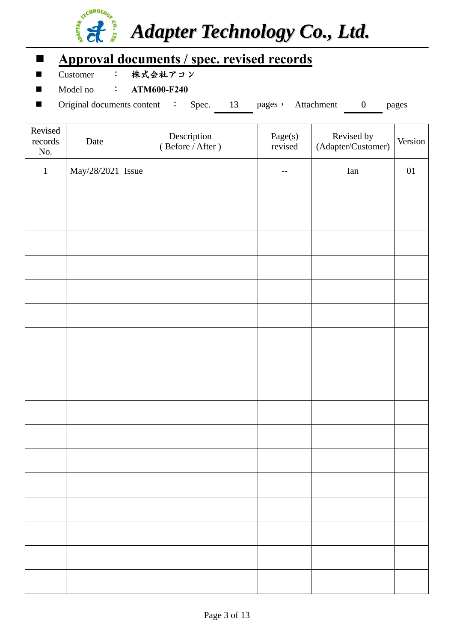

# **Approval documents / spec. revised records**

■ Customer : 株式会社アコン

■ Model no : **ATM600-F240** 

■ Original documents content : Spec. 13 pages, Attachment 0 pages

| Revised<br>records<br>No. | Date              | Description<br>(Before / After) | Page(s)<br>revised | Revised by<br>(Adapter/Customer) | Version |
|---------------------------|-------------------|---------------------------------|--------------------|----------------------------------|---------|
| $1\,$                     | May/28/2021 Issue |                                 | $\qquad \qquad -$  | Ian                              | $01\,$  |
|                           |                   |                                 |                    |                                  |         |
|                           |                   |                                 |                    |                                  |         |
|                           |                   |                                 |                    |                                  |         |
|                           |                   |                                 |                    |                                  |         |
|                           |                   |                                 |                    |                                  |         |
|                           |                   |                                 |                    |                                  |         |
|                           |                   |                                 |                    |                                  |         |
|                           |                   |                                 |                    |                                  |         |
|                           |                   |                                 |                    |                                  |         |
|                           |                   |                                 |                    |                                  |         |
|                           |                   |                                 |                    |                                  |         |
|                           |                   |                                 |                    |                                  |         |
|                           |                   |                                 |                    |                                  |         |
|                           |                   |                                 |                    |                                  |         |
|                           |                   |                                 |                    |                                  |         |
|                           |                   |                                 |                    |                                  |         |
|                           |                   |                                 |                    |                                  |         |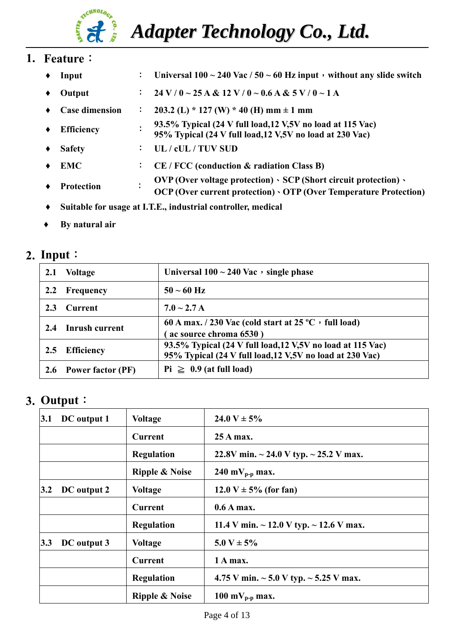# **TECHNOLOGY** i fi

*Adapter Technology Co., Ltd.*

### **1. Feature**:

- **♦ Input** : **Universal 100 ~ 240 Vac / 50 ~ 60 Hz input**,**without any slide switch**   $\bullet$  Output :  $24 V / 0 \sim 25 A \& 12 V / 0 \sim 0.6 A \& 5 V / 0 \sim 1 A$ **♦ Case dimension** : **203.2 (L) \* 127 (W) \* 40 (H) mm ± 1 mm ♦ Efficiency** : **93.5% Typical (24 V full load,12 V,5V no load at 115 Vac) 95% Typical (24 V full load,12 V,5V no load at 230 Vac) ♦ Safety** : **UL / cUL / TUV SUD EMC**  $\qquad \qquad \vdots \qquad \text{CE}/\text{FCC}$  (conduction & radiation Class B) **♦ Protection** : **OVP (Over voltage protection)**、**SCP (Short circuit protection)**、 **OCP (Over current protection)**、**OTP (Over Temperature Protection)**
- **♦ Suitable for usage at I.T.E., industrial controller, medical**
- **♦ By natural air**

#### **2. Input**:

| 2.1           | <b>Voltage</b>        | Universal $100 \sim 240$ Vac, single phase                                                                               |
|---------------|-----------------------|--------------------------------------------------------------------------------------------------------------------------|
| $2.2^{\circ}$ | Frequency             | $50 - 60$ Hz                                                                                                             |
| 2.3           | <b>Current</b>        | $7.0 \sim 2.7 A$                                                                                                         |
| 2.4           | Inrush current        | 60 A max. / 230 Vac (cold start at $25^{\circ}$ C, full load)<br>ac source chroma 6530)                                  |
| 2.5           | <b>Efficiency</b>     | 93.5% Typical (24 V full load, 12 V, 5V no load at 115 Vac)<br>95% Typical (24 V full load, 12 V, 5V no load at 230 Vac) |
|               | 2.6 Power factor (PF) | $Pi \geq 0.9$ (at full load)                                                                                             |

#### **3. Output**:

| 3.1 | DC output 1 | <b>Voltage</b>            | 24.0 V $\pm$ 5%                                   |
|-----|-------------|---------------------------|---------------------------------------------------|
|     |             | <b>Current</b>            | 25 A max.                                         |
|     |             | <b>Regulation</b>         | 22.8V min. $\sim$ 24.0 V typ. $\sim$ 25.2 V max.  |
|     |             | <b>Ripple &amp; Noise</b> | 240 m $V_{p-p}$ max.                              |
| 3.2 | DC output 2 | <b>Voltage</b>            | $12.0 V \pm 5\%$ (for fan)                        |
|     |             | <b>Current</b>            | $0.6A$ max.                                       |
|     |             | <b>Regulation</b>         | 11.4 V min. $\sim$ 12.0 V typ. $\sim$ 12.6 V max. |
| 3.3 | DC output 3 | <b>Voltage</b>            | $5.0 V \pm 5\%$                                   |
|     |             | Current                   | 1 A max.                                          |
|     |             | <b>Regulation</b>         | 4.75 V min. $\sim$ 5.0 V typ. $\sim$ 5.25 V max.  |
|     |             | <b>Ripple &amp; Noise</b> | 100 m $V_{p-p}$ max.                              |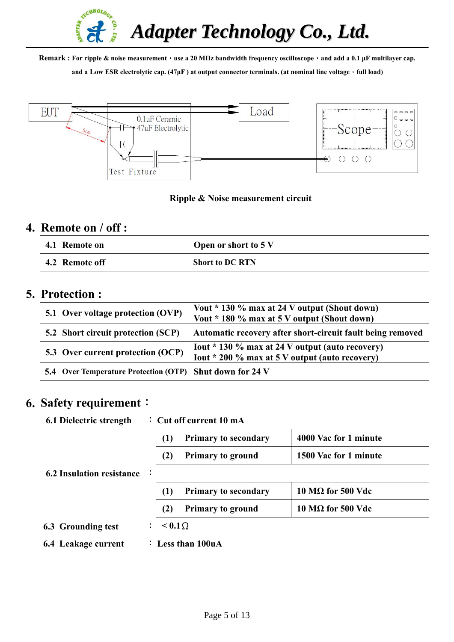

**Remark : For ripple & noise measurement**,**use a 20 MHz bandwidth frequency oscilloscope**,**and add a 0.1 μF multilayer cap.** 

and a Low ESR electrolytic cap. (47<sub></sub>µF) at output connector terminals. (at nominal line voltage, full load)



#### **Ripple & Noise measurement circuit**

#### **4. Remote on / off :**

| 4.1 Remote on  | Open or short to 5 V   |
|----------------|------------------------|
| 4.2 Remote off | <b>Short to DC RTN</b> |

#### **5. Protection :**

| 5.1 Over voltage protection (OVP)                               | Vout * 130 % max at 24 V output (Shout down)<br>Vout * 180 % max at 5 V output (Shout down)         |
|-----------------------------------------------------------------|-----------------------------------------------------------------------------------------------------|
| 5.2 Short circuit protection (SCP)                              | Automatic recovery after short-circuit fault being removed                                          |
| 5.3 Over current protection (OCP)                               | Lout $*$ 130 % max at 24 V output (auto recovery)<br>Iout * 200 % max at 5 V output (auto recovery) |
| <b>5.4 Over Temperature Protection (OTP) Shut down for 24 V</b> |                                                                                                     |

#### **6. Safety requirement**:

#### **6.1 Dielectric strength** : **Cut off current 10 mA**

| <b>Primary to secondary</b> | 4000 Vac for 1 minute |
|-----------------------------|-----------------------|
| <b>Primary to ground</b>    | 1500 Vac for 1 minute |

#### **6.2 Insulation resistance** :

|  | Primary to secondary     | $10 \text{ M}\Omega$ for 500 Vdc |
|--|--------------------------|----------------------------------|
|  | <b>Primary to ground</b> | $10 \text{ M}\Omega$ for 500 Vdc |

**6.3 Grounding test** : **< 0.1**Ω

- 
- **6.4 Leakage current** : **Less than 100uA**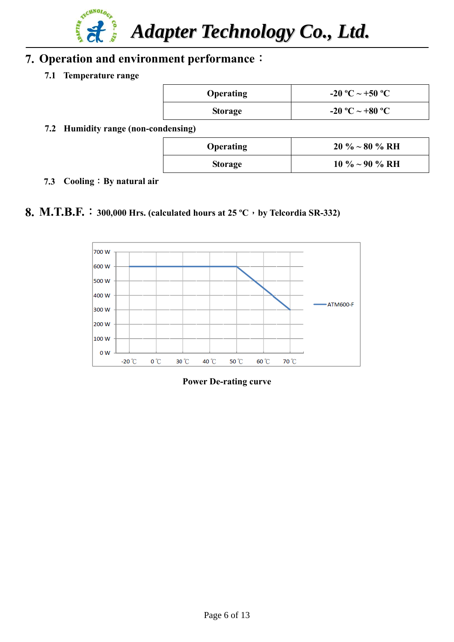

## **7. Operation and environment performance**:

**7.1 Temperature range** 

| <b>Operating</b> | -20 °C ~ +50 °C |
|------------------|-----------------|
| <b>Storage</b>   | -20 °C ~ +80 °C |

**7.2 Humidity range (non-condensing)** 

| <b>Operating</b> | $20\% \sim 80\% \text{ RH}$ |
|------------------|-----------------------------|
| Storage          | $10\% \sim 90\% \text{ RH}$ |

 **7.3 Cooling**:**By natural air** 

#### **8. M.T.B.F.**:**300,000 Hrs. (calculated hours at 25 ºC**,**by Telcordia SR-332)**



**Power De-rating curve**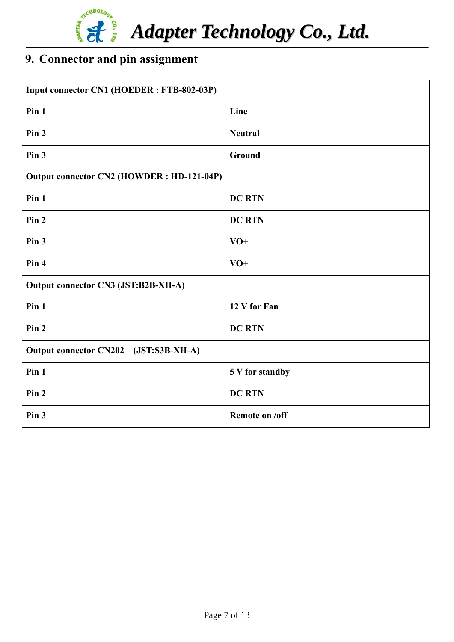

# **9. Connector and pin assignment**

| Input connector CN1 (HOEDER: FTB-802-03P) |                 |  |  |
|-------------------------------------------|-----------------|--|--|
| Pin 1                                     | Line            |  |  |
| Pin 2                                     | <b>Neutral</b>  |  |  |
| Pin 3                                     | Ground          |  |  |
| Output connector CN2 (HOWDER: HD-121-04P) |                 |  |  |
| Pin 1                                     | <b>DC RTN</b>   |  |  |
| Pin 2                                     | <b>DC RTN</b>   |  |  |
| Pin <sub>3</sub>                          | $VO+$           |  |  |
| Pin 4                                     | $VO+$           |  |  |
| Output connector CN3 (JST:B2B-XH-A)       |                 |  |  |
| Pin 1                                     | 12 V for Fan    |  |  |
| Pin 2                                     | <b>DC RTN</b>   |  |  |
| Output connector CN202 (JST:S3B-XH-A)     |                 |  |  |
| Pin 1                                     | 5 V for standby |  |  |
| Pin 2                                     | <b>DC RTN</b>   |  |  |
| Pin 3                                     | Remote on /off  |  |  |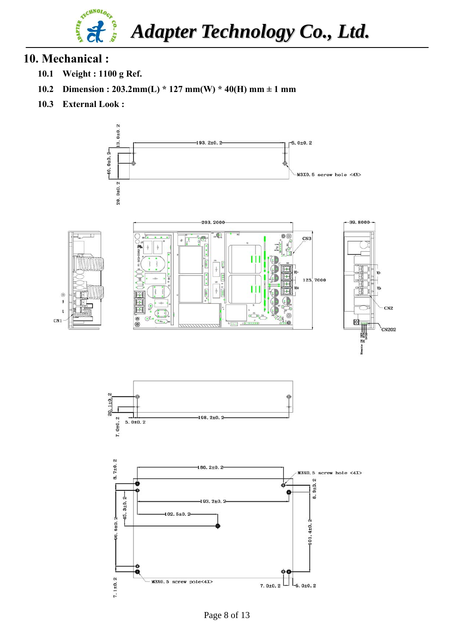

#### **10. Mechanical :**

- **10.1 Weight : 1100 g Ref.**
- **10.2 Dimension : 203.2mm(L) \* 127 mm(W) \* 40(H) mm ± 1 mm**
- **10.3 External Look :**

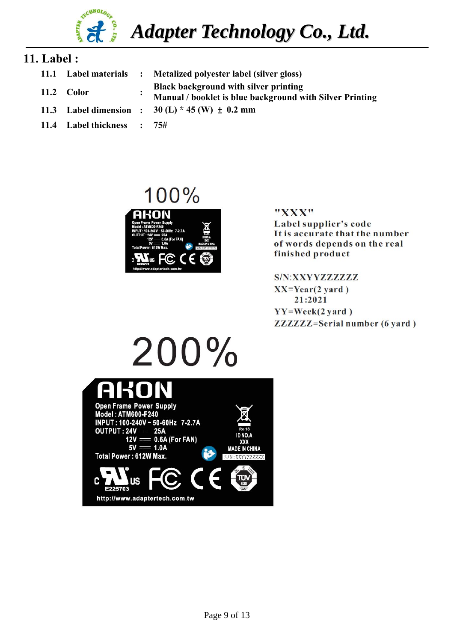

#### **11. Label :**

**11.1 Label materials : Metalized polyester label (silver gloss) 11.2 Color : Black background with silver printing Manual / booklet is blue background with Silver Printing 11.3 Label dimension : 30 (L) \* 45 (W)** ± **0.2 mm 11.4 Label thickness : 75#**

# 100% 40N Ю. ΙŔ

#### "XXX" Label supplier's code It is accurate that the number of words depends on the real finished product

S/N:XXYYZZZZZZZ  $XX = Year(2 \text{ yard})$ 21:2021  $YY=Week(2 yard)$ **ZZZZZZ=Serial number (6 yard)** 

#### $200%$ **Open Frame Power Supply** Model: ATM600-F240 INPUT: 100-240V ~ 50-60Hz 7-2.7A **OUTPUT: 24V == 25A** ID NO.  $= 0.6A$  (For FAN)  $12V =$ **YYY**  $5V = 1.0A$ **MADE IN CHINA Total Power: 612W Max.** ΠE http://www.adaptertech.com.tw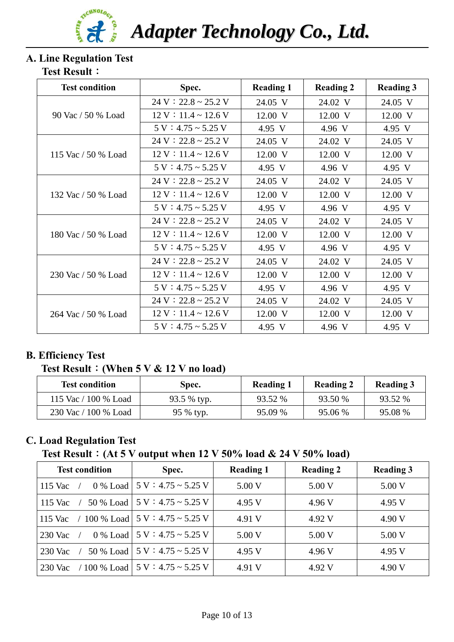

*Adapter Technology Co., Ltd.*

# **A. Line Regulation Test**

#### **Test Result**:

| <b>Test condition</b> | Spec.                     | <b>Reading 1</b> | <b>Reading 2</b> | <b>Reading 3</b> |
|-----------------------|---------------------------|------------------|------------------|------------------|
|                       | $24 V : 22.8 \sim 25.2 V$ | 24.05 V          | 24.02 V          | 24.05 V          |
| 90 Vac / 50 % Load    | $12 V : 11.4 \sim 12.6 V$ | 12.00 V          | 12.00 V          | 12.00 V          |
|                       | $5 V : 4.75 \sim 5.25 V$  | 4.95 V           | 4.96 V           | 4.95 V           |
|                       | $24 V : 22.8 \sim 25.2 V$ | 24.05 V          | 24.02 V          | 24.05 V          |
| 115 Vac / 50 % Load   | $12 V : 11.4 \sim 12.6 V$ | 12.00 V          | 12.00 V          | 12.00 V          |
|                       | $5 V : 4.75 \sim 5.25 V$  | 4.95 V           | 4.96 V           | 4.95 V           |
|                       | $24 V : 22.8 \sim 25.2 V$ | 24.05 V          | 24.02 V          | 24.05 V          |
| 132 Vac / 50 % Load   | $12 V : 11.4 \sim 12.6 V$ | 12.00 V          | 12.00 V          | 12.00 V          |
|                       | $5 V : 4.75 \sim 5.25 V$  | 4.95 V           | 4.96 V           | 4.95 V           |
|                       | $24 V : 22.8 \sim 25.2 V$ | 24.05 V          | 24.02 V          | 24.05 V          |
| 180 Vac / 50 % Load   | $12 V : 11.4 \sim 12.6 V$ | 12.00 V          | 12.00 V          | 12.00 V          |
|                       | $5 V : 4.75 \sim 5.25 V$  | 4.95 V           | 4.96 V           | 4.95 V           |
|                       | $24 V : 22.8 \sim 25.2 V$ | 24.05 V          | 24.02 V          | 24.05 V          |
| 230 Vac / 50 % Load   | $12 V : 11.4 \sim 12.6 V$ | 12.00 V          | 12.00 V          | 12.00 V          |
|                       | $5 V : 4.75 \sim 5.25 V$  | 4.95 V           | 4.96 V           | 4.95 V           |
| 264 Vac / 50 % Load   | $24 V : 22.8 \sim 25.2 V$ | 24.05 V          | 24.02 V          | 24.05 V          |
|                       | $12 V : 11.4 \sim 12.6 V$ | 12.00 V          | 12.00 V          | 12.00 V          |
|                       | $5 V : 4.75 \sim 5.25 V$  | 4.95 V           | 4.96 V           | 4.95 V           |

#### **B. Efficiency Test**

#### **Test Result**:**(When 5 V & 12 V no load)**

| <b>Test condition</b> | Spec.       | <b>Reading 1</b> | <b>Reading 2</b> | <b>Reading 3</b> |
|-----------------------|-------------|------------------|------------------|------------------|
| 115 Vac / 100 % Load  | 93.5 % typ. | 93.52 %          | 93.50 %          | 93.52 %          |
| 230 Vac / 100 % Load  | 95 % typ.   | 95.09 %          | 95.06 %          | 95.08 %          |

#### **C. Load Regulation Test**

 **Test Result**:**(At 5 V output when 12 V 50% load & 24 V 50% load)**

| <b>Test condition</b> | Spec.                                   | <b>Reading 1</b> | <b>Reading 2</b> | <b>Reading 3</b> |
|-----------------------|-----------------------------------------|------------------|------------------|------------------|
| 115 Vac<br>$0\%$ Load | $15 V : 4.75 \sim 5.25 V$               | 5.00 V           | 5.00 V           | 5.00 V           |
| 115 Vac<br>50 % Load  | $15 V : 4.75 \sim 5.25 V$               | 4.95 V           | 4.96 V           | 4.95 V           |
| 115 Vac               | 100 % Load $\vert 5$ V : 4.75 ~ 5.25 V  | 4.91 V           | 4.92 V           | 4.90 V           |
| 230 Vac<br>$0\%$ Load | $15 V : 4.75 \sim 5.25 V$               | 5.00 V           | 5.00 V           | 5.00 V           |
| 230 Vac<br>50 % Load  | $5 V : 4.75 \sim 5.25 V$                | 4.95 V           | 4.96 V           | 4.95 V           |
| 230 Vac               | / 100 % Load   5 V $: 4.75 \sim 5.25$ V | 4.91 V           | 4.92 V           | 4.90 V           |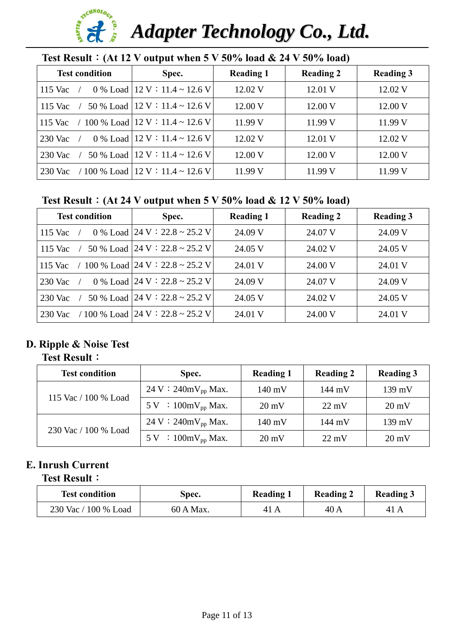#### **ARCHNOLOGE P** AHAVO *Adapter Technology Co., Ltd.*

| Test Result: $(At 12 V output when 5 V 50\% load & 24 V 50\% load)$ |                                                         |                  |                  |                  |  |
|---------------------------------------------------------------------|---------------------------------------------------------|------------------|------------------|------------------|--|
| <b>Test condition</b>                                               | Spec.                                                   | <b>Reading 1</b> | <b>Reading 2</b> | <b>Reading 3</b> |  |
| 115 Vac                                                             | 0 % Load $ 12 \text{ V} : 11.4 \sim 12.6 \text{ V} $    | 12.02 V          | 12.01 V          | 12.02 V          |  |
| 115 Vac                                                             | 50 % Load $ 12 \text{ V} : 11.4 \sim 12.6 \text{ V}$    | 12.00 V          | 12.00 V          | 12.00 V          |  |
| 115 Vac                                                             | / 100 % Load $12 \text{ V}$ : 11.4 ~ 12.6 V             | 11.99 V          | 11.99 V          | 11.99 V          |  |
| 230 Vac                                                             | 0 % Load $12$ V : 11.4 ~ 12.6 V                         | 12.02 V          | 12.01 V          | 12.02 V          |  |
| 230 Vac                                                             | 50 % Load $ 12 \text{ V} : 11.4 \sim 12.6 \text{ V}$    | 12.00 V          | 12.00 V          | 12.00 V          |  |
| 230 Vac                                                             | / 100 % Load $ 12 \text{ V} : 11.4 \sim 12.6 \text{ V}$ | 11.99 V          | 11.99 V          | 11.99 V          |  |

### **Test Result**:**(At 24 V output when 5 V 50% load & 12 V 50% load)**

| <b>Test condition</b> | Spec.                                                   | <b>Reading 1</b> | <b>Reading 2</b> | <b>Reading 3</b> |
|-----------------------|---------------------------------------------------------|------------------|------------------|------------------|
| 115 Vac               | 0 % Load $ 24 \text{ V} : 22.8 \sim 25.2 \text{ V}$     | 24.09 V          | 24.07 V          | 24.09 V          |
| 115 Vac               | 50 % Load $ 24 \text{ V} : 22.8 \sim 25.2 \text{ V}$    | 24.05 V          | 24.02 V          | 24.05 V          |
| 115 Vac               | / 100 % Load 24 V : 22.8 ~ 25.2 V                       | 24.01 V          | 24.00 V          | 24.01 V          |
| $230$ Vac             | 0 % Load $ 24 \text{ V} : 22.8 \sim 25.2 \text{ V}$     | 24.09 V          | 24.07 V          | 24.09 V          |
| 230 Vac               | 50 % Load $ 24 \text{ V} : 22.8 \sim 25.2 \text{ V} $   | 24.05 V          | 24.02 V          | 24.05 V          |
| 230 Vac               | / 100 % Load $ 24 \text{ V} : 22.8 \sim 25.2 \text{ V}$ | 24.01 V          | 24.00 V          | 24.01 V          |

## **D. Ripple & Noise Test**

#### **Test Result**:

| <b>Test condition</b> | Spec.                                                  | <b>Reading 1</b> | <b>Reading 2</b> | <b>Reading 3</b> |
|-----------------------|--------------------------------------------------------|------------------|------------------|------------------|
| 115 Vac / 100 % Load  | $24 \text{ V} : 240 \text{mV}_{\text{pp}} \text{Max.}$ | $140 \text{ mV}$ | 144 mV           | $139 \text{ mV}$ |
|                       | $5 \text{ V}$ : 100mV <sub>pp</sub> Max.               | $20 \text{ mV}$  | $22 \text{ mV}$  | $20 \text{ mV}$  |
| 230 Vac / 100 % Load  | $24 \text{ V} : 240 \text{mV}_{\text{pp}} \text{Max.}$ | $140 \text{ mV}$ | 144 mV           | $139 \text{ mV}$ |
|                       | $5 \text{ V}$ : 100mV <sub>pp</sub> Max.               | $20 \text{ mV}$  | $22 \text{ mV}$  | $20 \text{ mV}$  |

## **E. Inrush Current**

#### **Test Result**:

| <b>Test condition</b> | Spec.     | <b>Reading 1</b> | <b>Reading 2</b> | <b>Reading 3</b> |
|-----------------------|-----------|------------------|------------------|------------------|
| 230 Vac / 100 % Load  | 60 A Max. | 41 A             | 40 A             | 41 A             |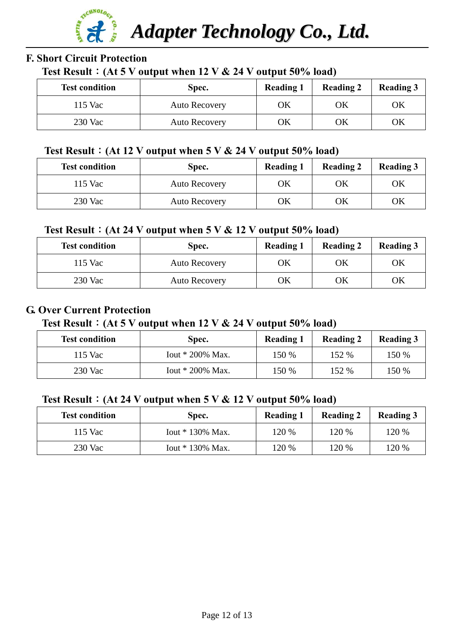

#### **F. Short Circuit Protection**

#### **Test Result**:**(At 5 V output when 12 V & 24 V output 50% load)**

| <b>Test condition</b> | Spec.                | <b>Reading 1</b> | <b>Reading 2</b> | <b>Reading 3</b> |
|-----------------------|----------------------|------------------|------------------|------------------|
| 115 Vac               | <b>Auto Recovery</b> | OK               | OK               | OK               |
| 230 Vac               | <b>Auto Recovery</b> | OK               | OK               | OK               |

#### **Test Result**:**(At 12 V output when 5 V & 24 V output 50% load)**

| <b>Test condition</b> | Spec.                | <b>Reading 1</b> | <b>Reading 2</b> | <b>Reading 3</b> |
|-----------------------|----------------------|------------------|------------------|------------------|
| 115 Vac               | <b>Auto Recovery</b> | ЭK               | ОK               | OK               |
| $230$ Vac             | <b>Auto Recovery</b> | ЭK               | ΟK               | ОK               |

#### **Test Result**:**(At 24 V output when 5 V & 12 V output 50% load)**

| <b>Test condition</b> | Spec.                | <b>Reading 1</b> | <b>Reading 2</b> | <b>Reading 3</b> |
|-----------------------|----------------------|------------------|------------------|------------------|
| 115 Vac               | <b>Auto Recovery</b> | OК               | ΟK               | OK               |
| 230 Vac               | <b>Auto Recovery</b> | ЭK               | ОK               | ОK               |

#### **G. Over Current Protection**

#### **Test Result**:**(At 5 V output when 12 V & 24 V output 50% load)**

| <b>Test condition</b> | Spec.              | <b>Reading 1</b> | <b>Reading 2</b> | <b>Reading 3</b> |
|-----------------------|--------------------|------------------|------------------|------------------|
| 115 Vac               | Iout $*$ 200% Max. | 150 %            | 152 %            | 150 %            |
| 230 Vac               | Iout $*$ 200% Max. | 150 %            | 152 %            | 150 %            |

#### **Test Result**:**(At 24 V output when 5 V & 12 V output 50% load)**

| <b>Test condition</b> | Spec.              | <b>Reading 1</b> | <b>Reading 2</b> | <b>Reading 3</b> |
|-----------------------|--------------------|------------------|------------------|------------------|
| 115 Vac               | Iout $*$ 130% Max. | 120 %            | 120 %            | 120 %            |
| 230 Vac               | Iout $*$ 130% Max. | 120 %            | 120 %            | 120 %            |